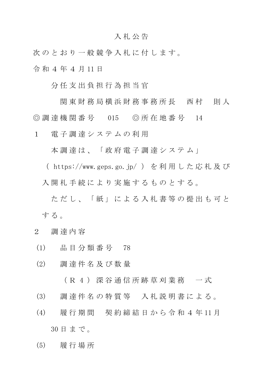## 入 札 公 告

次のとおり一般競争入札に付します。 令 和 4 年 4 月 11 日

分 任 支 出 負 担 行 為 担 当 官

関 東 財 務 局 横 浜 財 務 事 務 所 長 西 村 三 則 人 ◎ 調 達 機 関 番 号 015 ◎ 所 在 地 番 号 14

1 電 子 調 達 シ ス テ ム の 利 用

本調達は、「政府電子調達システム」

( https://www.geps.go.jp/ ) を 利 用 し た 応 札 及 び 入開札手続により実施するものとする。

ただし、「紙」による入札書等の提出も可と する。

- 2 調 達 内 容
- (1) 品 目 分 類 番 号 78
- (2) 調 達 件 名 及 び 数 量

( R 4 ) 深 谷 通 信 所 跡 草 刈 業 務 一 式

- (3) 調 達 件 名 の 特 質 等 入 札 説 明 書 に よ る 。
- (4) 履 行 期 間 契 約 締 結 日 か ら 令 和 4 年 11 月

30 日 ま で 。

(5) 履 行 場 所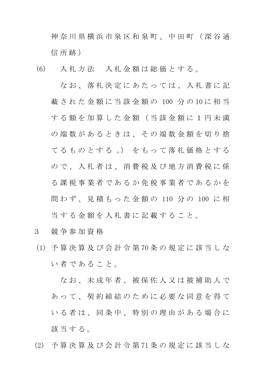神 奈 川 県 横 浜 市 泉 区 和 泉 町 、 中 田 町 ( 深 谷 通 信 所 跡)

(6) 入 札 方 法 入 札 金 額 は 総 価 と す る 。

な お 、 落 札 決 定 に あ た っ て は 、 入 札 書 に 記 載 さ れ た 金 額 に 当 該 金 額 の 100 分 の 10 に 相 当 す る 額 を 加 算 し た 金 額 ( 当 該 金 額 に 1 円 未 満 の 端 数 が あ る と き は、 そ の 端 数 金 額 を 切 り 捨 て る も の と す る 。) を も っ て 落 札 価 格 と す る ので、入札者は、消費税及び地方消費税に係 る 課 税 事 業 者 で あ る か 免 税 事 業 者 で あ る か を 問わず、見積もった金額の 110 分の 100 に相 当 す る 金 額 を 入 札 書 に 記 載 す る こ と 。

- 3 競 争 参 加 資 格
- (1) 予 算 決 算 及 び 会 計 令 第 70 条 の 規 定 に 該 当 し な い 者 で あ る こ と 。

なお、未成年者、被保佐人又は被補助人で あって、契約締結のために必要な同意を得て いる者は、同条中、特別の理由がある場合に 該当する。

(2) 予 算 決 算 及 び 会 計 令 第 71 条 の 規 定 に 該 当 し な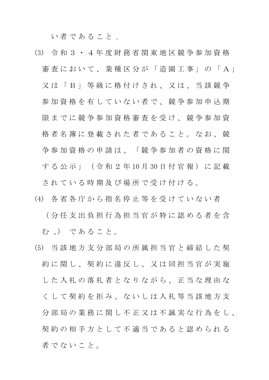い 者 で あ る こ と 。

- (3) 令 和 3 ・ 4 年 度 財 務 省 関 東 地 区 競 争 参 加 資 格 審査において、業種区分が「造園工事」の「A」 又 は 「 B 」 等 級 に 格 付 け さ れ 、 又 は 、 当 該 競 争 参加資格を有していない者で、競争参加申込期 限までに競争参加資格審査を受け、競争参加資 格者名簿に登載された者であること。なお、競 争 参 加 資 格 の 申 請 は 、 「 競 争 参 加 者 の 資 格 に 関 す る 公 示 」 ( 令 和 2 年 10 月 30 日 付 官 報 ) に 記 載 さ れ て い る 時 期 及 び 場 所 で 受 け 付 け る 。
- (4) 各 省 各 庁 か ら 指 名 停 止 等 を 受 け て い な い 者 ( 分 任 支 出 負 担 行 為 担 当 官 が 特 に 認 め る 者 を 含 む。) であること。
- (5) 当 該 地 方 支 分 部 局 の 所 属 担 当 官 と 締 結 し た 契 約 に 関 し 、 契 約 に 違 反 し 、 又 は 同 担 当 官 が 実 施 した 入 札 の 落 札 者 と な り な が ら 、 正 当 な 理 由 な くして契約を拒み、ないしは入札等当該地方支 分 部 局 の 業 務 に 関 し 不 正 又 は 不 誠 実 な 行 為 を し 、 契約の相手方として不適当であると認められる 者でないこと。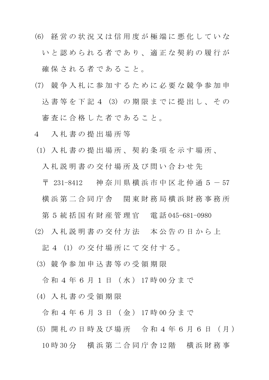- (6) 経 営 の 状 況 又 は 信 用 度 が 極 端 に 悪 化 し て い な いと認められる者であり、適正な契約の履行が 確保される者であること。
- (7) 競 争 入 札 に 参 加 す る た め に 必 要 な 競 争 参 加 申 込 書 等 を 下 記 4 (3) の 期 限 ま で に 提 出 し 、 そ の 審査に合格した者であること。
- 4 入 札 書 の 提 出 場 所 等
- (1) 入 札 書 の 提 出 場 所 、 契 約 条 項 を 示 す 場 所 、

入 札 説 明 書 の 交 付 場 所 及 び 問 い 合 わ せ 先

〒 231-8412 神奈川県横浜市中区北仲通 5 - 57 横浜 第 二 合 同 庁 舎 関 東 財 務 局 横 浜 財 務 事 務 所

第 5 統 括 国 有 財 産 管 理 官 工電 話 045-681-0980

(2) 入 札 説 明 書 の 交 付 方 法 本 公 告 の 日 か ら 上

記 4 (1) の 交 付 場 所 に て 交 付 す る 。

(3) 競 争 参 加 申 込 書 等 の 受 領 期 限

令 和 4 年 6 月 1 日 ( 水 ) 17 時 00 分 ま で

(4) 入 札 書 の 受 領 期 限

令 和 4 年 6 月 3 日 ( 金 ) 17 時 00 分 ま で

(5) 開 札 の 日 時 及 び 場 所 令 和 4 年 6 月 6 日 ( 月 )

10 時 30 分 横 浜 第 二 合 同 庁 舎 12 階 横 浜 財 務 事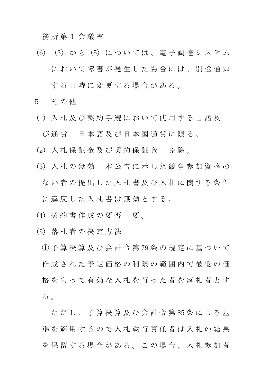務 所 第 1 会 議 室

- (6) (3) か ら (5) に つ い て は 、 電 子 調 達 シ ス テ ム において障害が発生した場合には、別途通知 する日時に変更する場合がある。
- 5 その他
- (1) 入 札 及 び 契 約 手 続 に お い て 使 用 す る 言 語 及 び 通 貨 日 本 語 及 び 日 本 国 通 貨 に 限 る 。
- (2) 入札保証金及び契約保証金 免除。
- (3) 入 札 の 無 効 本 公 告 に 示 し た 競 争 参 加 資 格 の ない者の提出した入札書及び入札に関する条件 に違反した入札書は無効とする。
- (4) 契約書作成の要否 要。
- (5) 落 札 者 の 決 定 方 法

① 予 算 決 算 及 び 会 計 令 第 79 条 の 規 定 に 基 づ い て 作 成 さ れ た 予 定 価 格 の 制 限 の 範 囲 内 で 最 低 の 価 格 を も っ て 有 効 な 入 札 を 行 っ た 者 を 落 札 者 と す る 。

ただし、予算決算及び会計令第85条による基 進を適用するので入札執行責任者は入札の結果 を保留する場合がある。この場合、入札参加者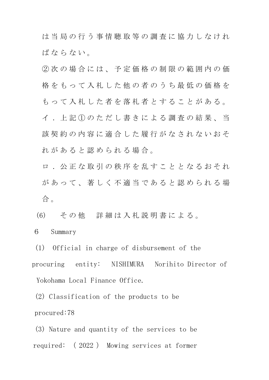は 当 局 の 行 う 事 情 聴 取 等 の 調 査 に 協 力 し な け れ ば な ら な い。

② 次 の 場 合 に は 、 予 定 価 格 の 制 限 の 範 囲 内 の 価 格 を も っ て 入 札 し た 他 の 者 の う ち 最 低 の 価 格 を もって入札した者を落札者とすることがある。 イ . 上 記 ① の た だ し 書 き に よ る 調 査 の 結 果 、 当 該 契 約 の 内 容 に 適 合 し た 履 行 が な さ れ な い お そ れがあると認められる場合。

ロ . 公 正 な 取 引 の 秩 序 を 乱 す こ と と な る お そ れ があって、著しく不適当であると認められる場 合 。

(6) そ の 他 詳 細 は 入 札 説 明 書 に よ る 。

6 Summary

(1) Official in charge of disbursement of the procuring entity: NISHIMURA Norihito Director of Yokohama Local Finance Office.

(2) Classification of the products to be procured:78

(3) Nature and quantity of the services to be required: ( 2022 ) Mowing services at former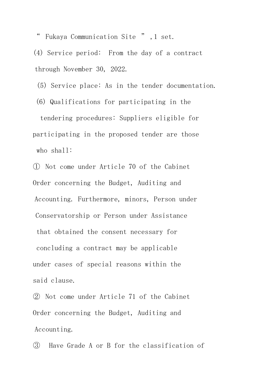" Fukaya Communication Site " ,1 set.

(4) Service period: From the day of a contract through November 30, 2022.

(5) Service place: As in the tender documentation.

(6) Qualifications for participating in the tendering procedures: Suppliers eligible for participating in the proposed tender are those who shall:

① Not come under Article 70 of the Cabinet Order concerning the Budget, Auditing and Accounting. Furthermore, minors, Person under Conservatorship or Person under Assistance that obtained the consent necessary for concluding a contract may be applicable under cases of special reasons within the said clause.

② Not come under Article 71 of the Cabinet Order concerning the Budget, Auditing and Accounting.

③ Have Grade A or B for the classification of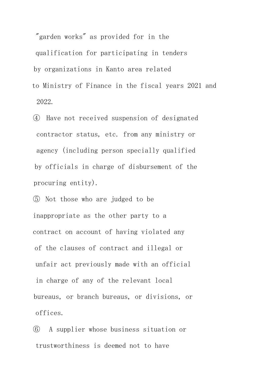"garden works" as provided for in the qualification for participating in tenders by organizations in Kanto area related to Ministry of Finance in the fiscal years 2021 and 2022.

④ Have not received suspension of designated contractor status, etc. from any ministry or agency (including person specially qualified by officials in charge of disbursement of the procuring entity).

⑤ Not those who are judged to be inappropriate as the other party to a contract on account of having violated any of the clauses of contract and illegal or unfair act previously made with an official in charge of any of the relevant local bureaus, or branch bureaus, or divisions, or offices.

⑥ A supplier whose business situation or trustworthiness is deemed not to have